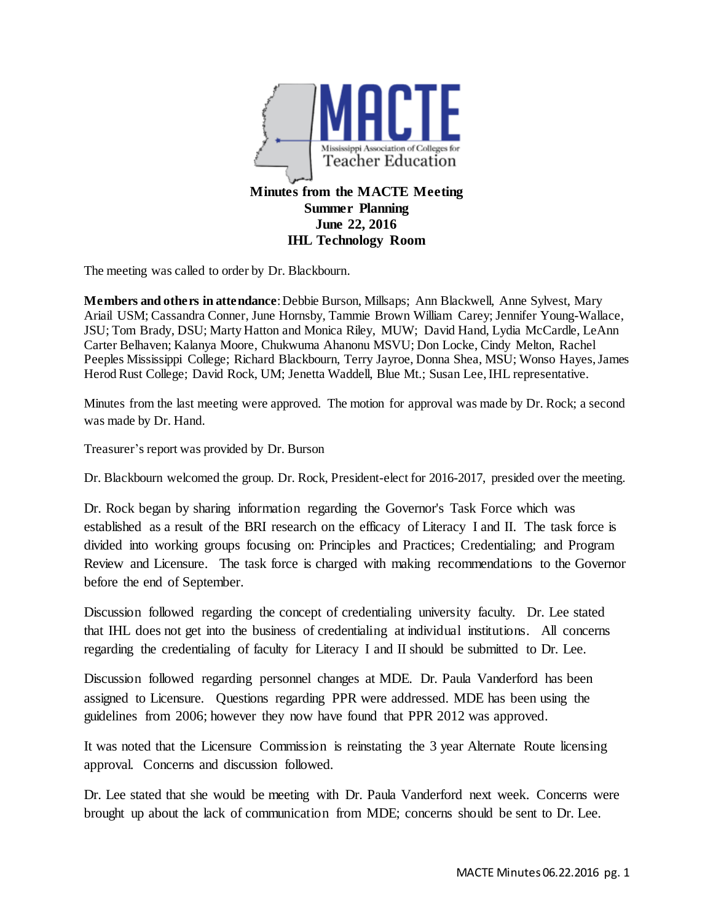

The meeting was called to order by Dr. Blackbourn.

**Members and others in attendance**: Debbie Burson, Millsaps; Ann Blackwell, Anne Sylvest, Mary Ariail USM; Cassandra Conner, June Hornsby, Tammie Brown William Carey; Jennifer Young-Wallace, JSU; Tom Brady, DSU; Marty Hatton and Monica Riley, MUW; David Hand, Lydia McCardle, LeAnn Carter Belhaven; Kalanya Moore, Chukwuma Ahanonu MSVU; Don Locke, Cindy Melton, Rachel Peeples Mississippi College; Richard Blackbourn, Terry Jayroe, Donna Shea, MSU; Wonso Hayes, James Herod Rust College; David Rock, UM; Jenetta Waddell, Blue Mt.; Susan Lee, IHL representative.

Minutes from the last meeting were approved. The motion for approval was made by Dr. Rock; a second was made by Dr. Hand.

Treasurer's report was provided by Dr. Burson

Dr. Blackbourn welcomed the group. Dr. Rock, President-elect for 2016-2017, presided over the meeting.

Dr. Rock began by sharing information regarding the Governor's Task Force which was established as a result of the BRI research on the efficacy of Literacy I and II. The task force is divided into working groups focusing on: Principles and Practices; Credentialing; and Program Review and Licensure. The task force is charged with making recommendations to the Governor before the end of September.

Discussion followed regarding the concept of credentialing university faculty. Dr. Lee stated that IHL does not get into the business of credentialing at individual institutions. All concerns regarding the credentialing of faculty for Literacy I and II should be submitted to Dr. Lee.

Discussion followed regarding personnel changes at MDE. Dr. Paula Vanderford has been assigned to Licensure. Questions regarding PPR were addressed. MDE has been using the guidelines from 2006; however they now have found that PPR 2012 was approved.

It was noted that the Licensure Commission is reinstating the 3 year Alternate Route licensing approval. Concerns and discussion followed.

Dr. Lee stated that she would be meeting with Dr. Paula Vanderford next week. Concerns were brought up about the lack of communication from MDE; concerns should be sent to Dr. Lee.